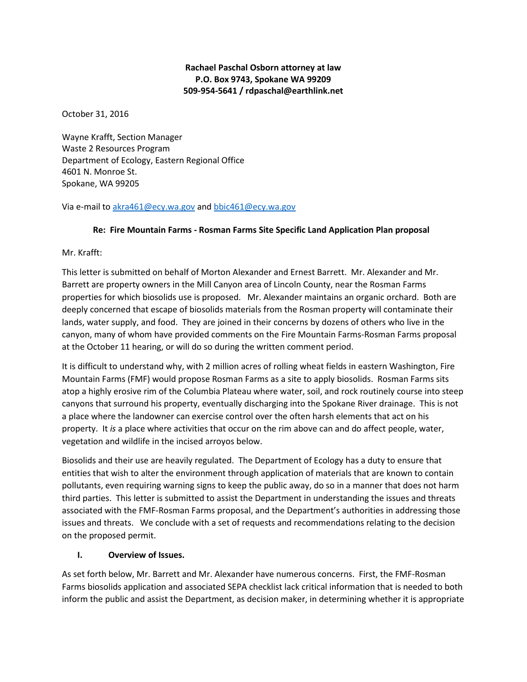## **Rachael Paschal Osborn attorney at law P.O. Box 9743, Spokane WA 99209 509-954-5641 / rdpaschal@earthlink.net**

October 31, 2016

Wayne Krafft, Section Manager Waste 2 Resources Program Department of Ecology, Eastern Regional Office 4601 N. Monroe St. Spokane, WA 99205

Via e-mail to [akra461@ecy.wa.gov](mailto:akra461@ecy.wa.gov) an[d bbic461@ecy.wa.gov](mailto:bbic461@ecy.wa.gov)

# **Re: Fire Mountain Farms - Rosman Farms Site Specific Land Application Plan proposal**

Mr. Krafft:

This letter is submitted on behalf of Morton Alexander and Ernest Barrett. Mr. Alexander and Mr. Barrett are property owners in the Mill Canyon area of Lincoln County, near the Rosman Farms properties for which biosolids use is proposed. Mr. Alexander maintains an organic orchard. Both are deeply concerned that escape of biosolids materials from the Rosman property will contaminate their lands, water supply, and food. They are joined in their concerns by dozens of others who live in the canyon, many of whom have provided comments on the Fire Mountain Farms-Rosman Farms proposal at the October 11 hearing, or will do so during the written comment period.

It is difficult to understand why, with 2 million acres of rolling wheat fields in eastern Washington, Fire Mountain Farms (FMF) would propose Rosman Farms as a site to apply biosolids. Rosman Farms sits atop a highly erosive rim of the Columbia Plateau where water, soil, and rock routinely course into steep canyons that surround his property, eventually discharging into the Spokane River drainage. This is not a place where the landowner can exercise control over the often harsh elements that act on his property. It *is* a place where activities that occur on the rim above can and do affect people, water, vegetation and wildlife in the incised arroyos below.

Biosolids and their use are heavily regulated. The Department of Ecology has a duty to ensure that entities that wish to alter the environment through application of materials that are known to contain pollutants, even requiring warning signs to keep the public away, do so in a manner that does not harm third parties. This letter is submitted to assist the Department in understanding the issues and threats associated with the FMF-Rosman Farms proposal, and the Department's authorities in addressing those issues and threats. We conclude with a set of requests and recommendations relating to the decision on the proposed permit.

## **I. Overview of Issues.**

As set forth below, Mr. Barrett and Mr. Alexander have numerous concerns. First, the FMF-Rosman Farms biosolids application and associated SEPA checklist lack critical information that is needed to both inform the public and assist the Department, as decision maker, in determining whether it is appropriate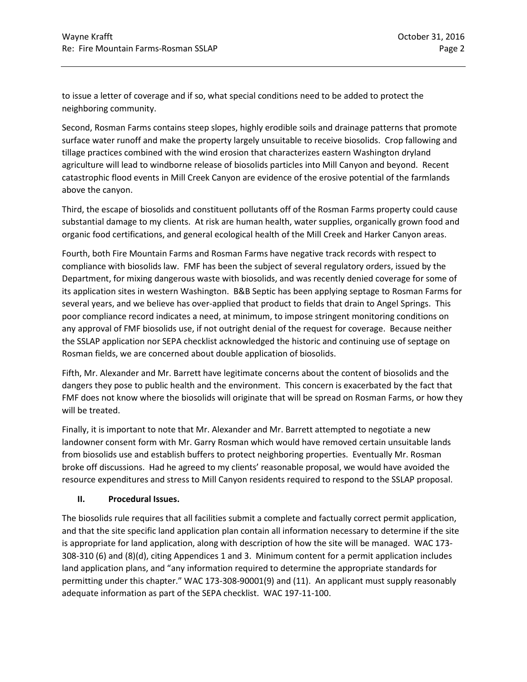to issue a letter of coverage and if so, what special conditions need to be added to protect the neighboring community.

Second, Rosman Farms contains steep slopes, highly erodible soils and drainage patterns that promote surface water runoff and make the property largely unsuitable to receive biosolids. Crop fallowing and tillage practices combined with the wind erosion that characterizes eastern Washington dryland agriculture will lead to windborne release of biosolids particles into Mill Canyon and beyond. Recent catastrophic flood events in Mill Creek Canyon are evidence of the erosive potential of the farmlands above the canyon.

Third, the escape of biosolids and constituent pollutants off of the Rosman Farms property could cause substantial damage to my clients. At risk are human health, water supplies, organically grown food and organic food certifications, and general ecological health of the Mill Creek and Harker Canyon areas.

Fourth, both Fire Mountain Farms and Rosman Farms have negative track records with respect to compliance with biosolids law. FMF has been the subject of several regulatory orders, issued by the Department, for mixing dangerous waste with biosolids, and was recently denied coverage for some of its application sites in western Washington. B&B Septic has been applying septage to Rosman Farms for several years, and we believe has over-applied that product to fields that drain to Angel Springs. This poor compliance record indicates a need, at minimum, to impose stringent monitoring conditions on any approval of FMF biosolids use, if not outright denial of the request for coverage. Because neither the SSLAP application nor SEPA checklist acknowledged the historic and continuing use of septage on Rosman fields, we are concerned about double application of biosolids.

Fifth, Mr. Alexander and Mr. Barrett have legitimate concerns about the content of biosolids and the dangers they pose to public health and the environment. This concern is exacerbated by the fact that FMF does not know where the biosolids will originate that will be spread on Rosman Farms, or how they will be treated.

Finally, it is important to note that Mr. Alexander and Mr. Barrett attempted to negotiate a new landowner consent form with Mr. Garry Rosman which would have removed certain unsuitable lands from biosolids use and establish buffers to protect neighboring properties. Eventually Mr. Rosman broke off discussions. Had he agreed to my clients' reasonable proposal, we would have avoided the resource expenditures and stress to Mill Canyon residents required to respond to the SSLAP proposal.

### **II. Procedural Issues.**

The biosolids rule requires that all facilities submit a complete and factually correct permit application, and that the site specific land application plan contain all information necessary to determine if the site is appropriate for land application, along with description of how the site will be managed. WAC 173- 308-310 (6) and (8)(d), citing Appendices 1 and 3. Minimum content for a permit application includes land application plans, and "any information required to determine the appropriate standards for permitting under this chapter." WAC 173-308-90001(9) and (11). An applicant must supply reasonably adequate information as part of the SEPA checklist. WAC 197-11-100.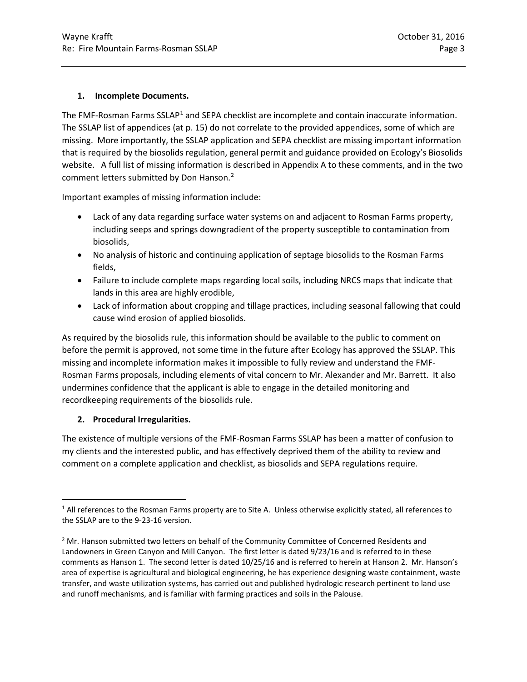### **1. Incomplete Documents.**

The FMF-Rosman Farms SSLAP<sup>[1](#page-2-0)</sup> and SEPA checklist are incomplete and contain inaccurate information. The SSLAP list of appendices (at p. 15) do not correlate to the provided appendices, some of which are missing. More importantly, the SSLAP application and SEPA checklist are missing important information that is required by the biosolids regulation, general permit and guidance provided on Ecology's Biosolids website. A full list of missing information is described in Appendix A to these comments, and in the two comment letters submitted by Don Hanson.<sup>[2](#page-2-1)</sup>

Important examples of missing information include:

- Lack of any data regarding surface water systems on and adjacent to Rosman Farms property, including seeps and springs downgradient of the property susceptible to contamination from biosolids,
- No analysis of historic and continuing application of septage biosolids to the Rosman Farms fields,
- Failure to include complete maps regarding local soils, including NRCS maps that indicate that lands in this area are highly erodible,
- Lack of information about cropping and tillage practices, including seasonal fallowing that could cause wind erosion of applied biosolids.

As required by the biosolids rule, this information should be available to the public to comment on before the permit is approved, not some time in the future after Ecology has approved the SSLAP. This missing and incomplete information makes it impossible to fully review and understand the FMF-Rosman Farms proposals, including elements of vital concern to Mr. Alexander and Mr. Barrett. It also undermines confidence that the applicant is able to engage in the detailed monitoring and recordkeeping requirements of the biosolids rule.

## **2. Procedural Irregularities.**

The existence of multiple versions of the FMF-Rosman Farms SSLAP has been a matter of confusion to my clients and the interested public, and has effectively deprived them of the ability to review and comment on a complete application and checklist, as biosolids and SEPA regulations require.

<span id="page-2-0"></span> <sup>1</sup> All references to the Rosman Farms property are to Site A. Unless otherwise explicitly stated, all references to the SSLAP are to the 9-23-16 version.

<span id="page-2-1"></span> $2$  Mr. Hanson submitted two letters on behalf of the Community Committee of Concerned Residents and Landowners in Green Canyon and Mill Canyon. The first letter is dated 9/23/16 and is referred to in these comments as Hanson 1. The second letter is dated 10/25/16 and is referred to herein at Hanson 2. Mr. Hanson's area of expertise is agricultural and biological engineering, he has experience designing waste containment, waste transfer, and waste utilization systems, has carried out and published hydrologic research pertinent to land use and runoff mechanisms, and is familiar with farming practices and soils in the Palouse.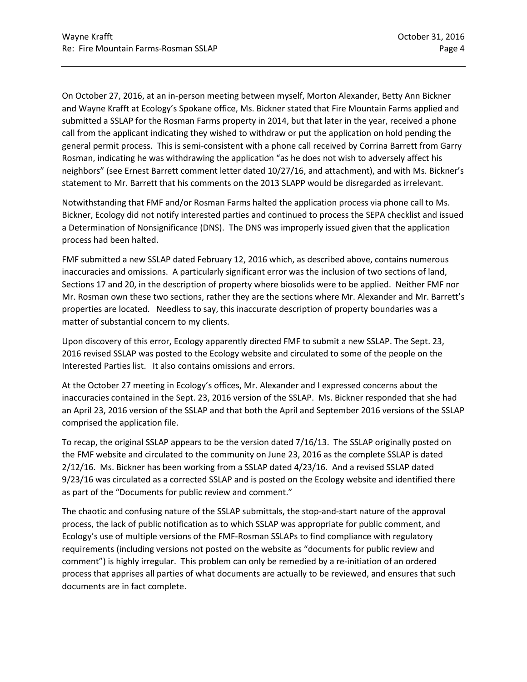On October 27, 2016, at an in-person meeting between myself, Morton Alexander, Betty Ann Bickner and Wayne Krafft at Ecology's Spokane office, Ms. Bickner stated that Fire Mountain Farms applied and submitted a SSLAP for the Rosman Farms property in 2014, but that later in the year, received a phone call from the applicant indicating they wished to withdraw or put the application on hold pending the general permit process. This is semi-consistent with a phone call received by Corrina Barrett from Garry Rosman, indicating he was withdrawing the application "as he does not wish to adversely affect his neighbors" (see Ernest Barrett comment letter dated 10/27/16, and attachment), and with Ms. Bickner's statement to Mr. Barrett that his comments on the 2013 SLAPP would be disregarded as irrelevant.

Notwithstanding that FMF and/or Rosman Farms halted the application process via phone call to Ms. Bickner, Ecology did not notify interested parties and continued to process the SEPA checklist and issued a Determination of Nonsignificance (DNS). The DNS was improperly issued given that the application process had been halted.

FMF submitted a new SSLAP dated February 12, 2016 which, as described above, contains numerous inaccuracies and omissions. A particularly significant error was the inclusion of two sections of land, Sections 17 and 20, in the description of property where biosolids were to be applied. Neither FMF nor Mr. Rosman own these two sections, rather they are the sections where Mr. Alexander and Mr. Barrett's properties are located. Needless to say, this inaccurate description of property boundaries was a matter of substantial concern to my clients.

Upon discovery of this error, Ecology apparently directed FMF to submit a new SSLAP. The Sept. 23, 2016 revised SSLAP was posted to the Ecology website and circulated to some of the people on the Interested Parties list. It also contains omissions and errors.

At the October 27 meeting in Ecology's offices, Mr. Alexander and I expressed concerns about the inaccuracies contained in the Sept. 23, 2016 version of the SSLAP. Ms. Bickner responded that she had an April 23, 2016 version of the SSLAP and that both the April and September 2016 versions of the SSLAP comprised the application file.

To recap, the original SSLAP appears to be the version dated 7/16/13. The SSLAP originally posted on the FMF website and circulated to the community on June 23, 2016 as the complete SSLAP is dated 2/12/16. Ms. Bickner has been working from a SSLAP dated 4/23/16. And a revised SSLAP dated 9/23/16 was circulated as a corrected SSLAP and is posted on the Ecology website and identified there as part of the "Documents for public review and comment."

The chaotic and confusing nature of the SSLAP submittals, the stop-and-start nature of the approval process, the lack of public notification as to which SSLAP was appropriate for public comment, and Ecology's use of multiple versions of the FMF-Rosman SSLAPs to find compliance with regulatory requirements (including versions not posted on the website as "documents for public review and comment") is highly irregular. This problem can only be remedied by a re-initiation of an ordered process that apprises all parties of what documents are actually to be reviewed, and ensures that such documents are in fact complete.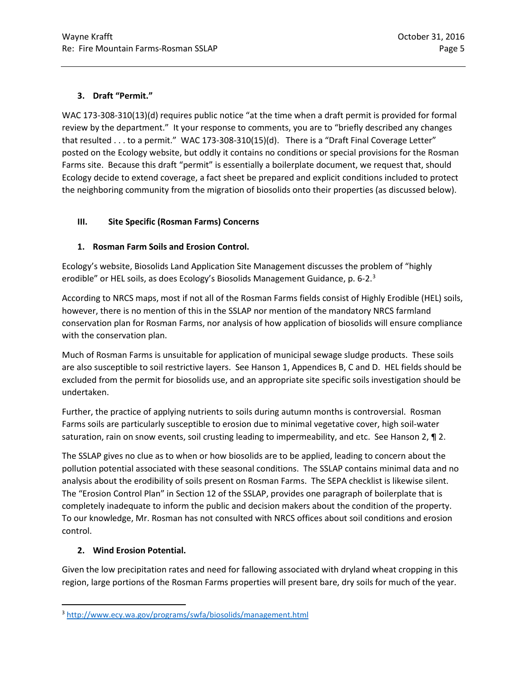### **3. Draft "Permit."**

WAC 173-308-310(13)(d) requires public notice "at the time when a draft permit is provided for formal review by the department." It your response to comments, you are to "briefly described any changes that resulted . . . to a permit." WAC 173-308-310(15)(d). There is a "Draft Final Coverage Letter" posted on the Ecology website, but oddly it contains no conditions or special provisions for the Rosman Farms site. Because this draft "permit" is essentially a boilerplate document, we request that, should Ecology decide to extend coverage, a fact sheet be prepared and explicit conditions included to protect the neighboring community from the migration of biosolids onto their properties (as discussed below).

### **III. Site Specific (Rosman Farms) Concerns**

### **1. Rosman Farm Soils and Erosion Control.**

Ecology's website, Biosolids Land Application Site Management discusses the problem of "highly erodible" or HEL soils, as does Ecology's Biosolids Management Guidance, p. 6-2.<sup>[3](#page-4-0)</sup>

According to NRCS maps, most if not all of the Rosman Farms fields consist of Highly Erodible (HEL) soils, however, there is no mention of this in the SSLAP nor mention of the mandatory NRCS farmland conservation plan for Rosman Farms, nor analysis of how application of biosolids will ensure compliance with the conservation plan.

Much of Rosman Farms is unsuitable for application of municipal sewage sludge products. These soils are also susceptible to soil restrictive layers. See Hanson 1, Appendices B, C and D. HEL fields should be excluded from the permit for biosolids use, and an appropriate site specific soils investigation should be undertaken.

Further, the practice of applying nutrients to soils during autumn months is controversial. Rosman Farms soils are particularly susceptible to erosion due to minimal vegetative cover, high soil-water saturation, rain on snow events, soil crusting leading to impermeability, and etc. See Hanson 2,  $\P$  2.

The SSLAP gives no clue as to when or how biosolids are to be applied, leading to concern about the pollution potential associated with these seasonal conditions. The SSLAP contains minimal data and no analysis about the erodibility of soils present on Rosman Farms. The SEPA checklist is likewise silent. The "Erosion Control Plan" in Section 12 of the SSLAP, provides one paragraph of boilerplate that is completely inadequate to inform the public and decision makers about the condition of the property. To our knowledge, Mr. Rosman has not consulted with NRCS offices about soil conditions and erosion control.

## **2. Wind Erosion Potential.**

Given the low precipitation rates and need for fallowing associated with dryland wheat cropping in this region, large portions of the Rosman Farms properties will present bare, dry soils for much of the year.

<span id="page-4-0"></span> <sup>3</sup> <http://www.ecy.wa.gov/programs/swfa/biosolids/management.html>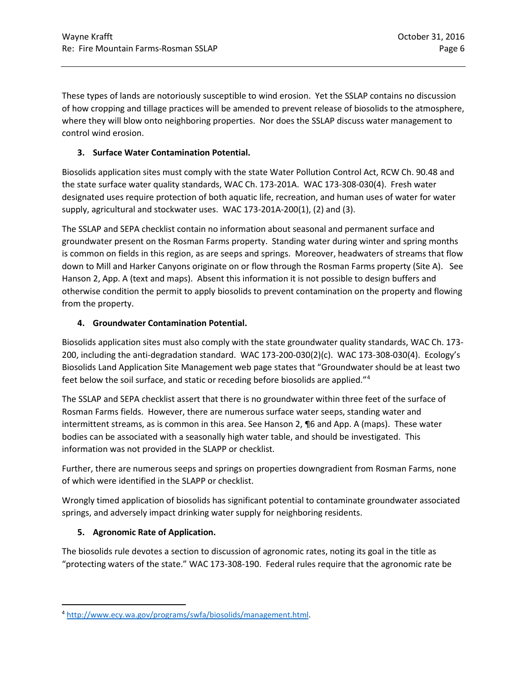These types of lands are notoriously susceptible to wind erosion. Yet the SSLAP contains no discussion of how cropping and tillage practices will be amended to prevent release of biosolids to the atmosphere, where they will blow onto neighboring properties. Nor does the SSLAP discuss water management to control wind erosion.

## **3. Surface Water Contamination Potential.**

Biosolids application sites must comply with the state Water Pollution Control Act, RCW Ch. 90.48 and the state surface water quality standards, WAC Ch. 173-201A. WAC 173-308-030(4). Fresh water designated uses require protection of both aquatic life, recreation, and human uses of water for water supply, agricultural and stockwater uses. WAC 173-201A-200(1), (2) and (3).

The SSLAP and SEPA checklist contain no information about seasonal and permanent surface and groundwater present on the Rosman Farms property. Standing water during winter and spring months is common on fields in this region, as are seeps and springs. Moreover, headwaters of streams that flow down to Mill and Harker Canyons originate on or flow through the Rosman Farms property (Site A). See Hanson 2, App. A (text and maps). Absent this information it is not possible to design buffers and otherwise condition the permit to apply biosolids to prevent contamination on the property and flowing from the property.

### **4. Groundwater Contamination Potential.**

Biosolids application sites must also comply with the state groundwater quality standards, WAC Ch. 173- 200, including the anti-degradation standard. WAC 173-200-030(2)(c). WAC 173-308-030(4). Ecology's Biosolids Land Application Site Management web page states that "Groundwater should be at least two feet below the soil surface, and static or receding before biosolids are applied."[4](#page-5-0)

The SSLAP and SEPA checklist assert that there is no groundwater within three feet of the surface of Rosman Farms fields. However, there are numerous surface water seeps, standing water and intermittent streams, as is common in this area. See Hanson 2, ¶6 and App. A (maps). These water bodies can be associated with a seasonally high water table, and should be investigated. This information was not provided in the SLAPP or checklist.

Further, there are numerous seeps and springs on properties downgradient from Rosman Farms, none of which were identified in the SLAPP or checklist.

Wrongly timed application of biosolids has significant potential to contaminate groundwater associated springs, and adversely impact drinking water supply for neighboring residents.

## **5. Agronomic Rate of Application.**

The biosolids rule devotes a section to discussion of agronomic rates, noting its goal in the title as "protecting waters of the state." WAC 173-308-190. Federal rules require that the agronomic rate be

<span id="page-5-0"></span> <sup>4</sup> [http://www.ecy.wa.gov/programs/swfa/biosolids/management.html.](http://www.ecy.wa.gov/programs/swfa/biosolids/management.html)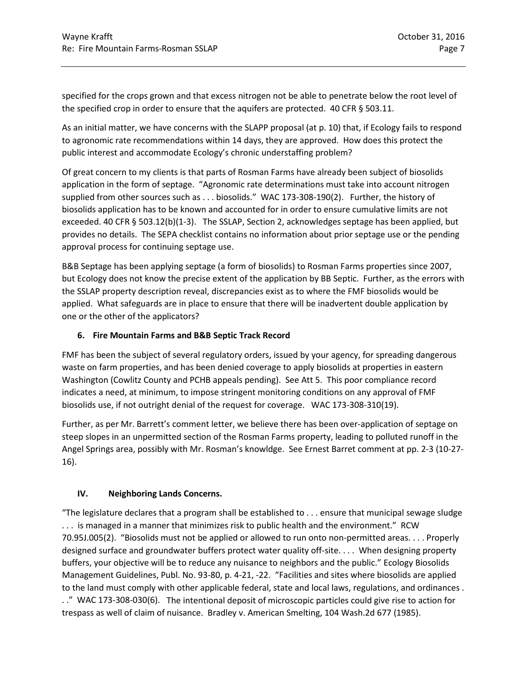specified for the crops grown and that excess nitrogen not be able to penetrate below the root level of the specified crop in order to ensure that the aquifers are protected. 40 CFR § 503.11.

As an initial matter, we have concerns with the SLAPP proposal (at p. 10) that, if Ecology fails to respond to agronomic rate recommendations within 14 days, they are approved. How does this protect the public interest and accommodate Ecology's chronic understaffing problem?

Of great concern to my clients is that parts of Rosman Farms have already been subject of biosolids application in the form of septage. "Agronomic rate determinations must take into account nitrogen supplied from other sources such as . . . biosolids." WAC 173-308-190(2). Further, the history of biosolids application has to be known and accounted for in order to ensure cumulative limits are not exceeded. 40 CFR § 503.12(b)(1-3). The SSLAP, Section 2, acknowledges septage has been applied, but provides no details. The SEPA checklist contains no information about prior septage use or the pending approval process for continuing septage use.

B&B Septage has been applying septage (a form of biosolids) to Rosman Farms properties since 2007, but Ecology does not know the precise extent of the application by BB Septic. Further, as the errors with the SSLAP property description reveal, discrepancies exist as to where the FMF biosolids would be applied. What safeguards are in place to ensure that there will be inadvertent double application by one or the other of the applicators?

### **6. Fire Mountain Farms and B&B Septic Track Record**

FMF has been the subject of several regulatory orders, issued by your agency, for spreading dangerous waste on farm properties, and has been denied coverage to apply biosolids at properties in eastern Washington (Cowlitz County and PCHB appeals pending). See Att 5. This poor compliance record indicates a need, at minimum, to impose stringent monitoring conditions on any approval of FMF biosolids use, if not outright denial of the request for coverage. WAC 173-308-310(19).

Further, as per Mr. Barrett's comment letter, we believe there has been over-application of septage on steep slopes in an unpermitted section of the Rosman Farms property, leading to polluted runoff in the Angel Springs area, possibly with Mr. Rosman's knowldge. See Ernest Barret comment at pp. 2-3 (10-27- 16).

### **IV. Neighboring Lands Concerns.**

"The legislature declares that a program shall be established to . . . ensure that municipal sewage sludge . . . is managed in a manner that minimizes risk to public health and the environment." RCW 70.95J.005(2). "Biosolids must not be applied or allowed to run onto non-permitted areas. . . . Properly designed surface and groundwater buffers protect water quality off-site. . . . When designing property buffers, your objective will be to reduce any nuisance to neighbors and the public." Ecology Biosolids Management Guidelines, Publ. No. 93-80, p. 4-21, -22. "Facilities and sites where biosolids are applied to the land must comply with other applicable federal, state and local laws, regulations, and ordinances . . ." WAC 173-308-030(6). The intentional deposit of microscopic particles could give rise to action for trespass as well of claim of nuisance. Bradley v. American Smelting, 104 Wash.2d 677 (1985).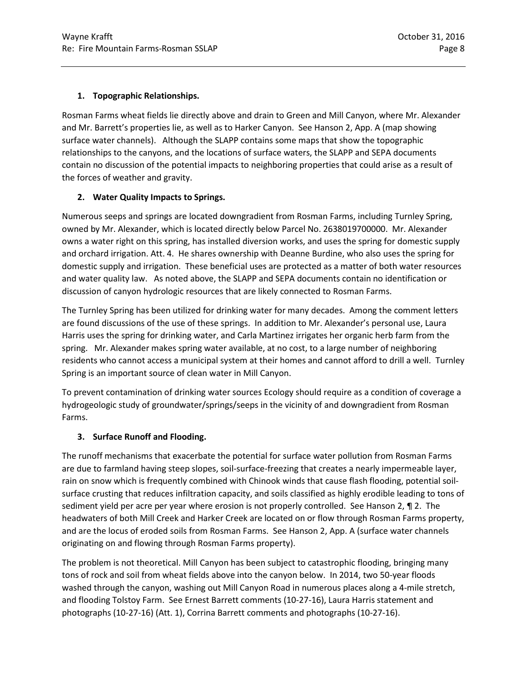## **1. Topographic Relationships.**

Rosman Farms wheat fields lie directly above and drain to Green and Mill Canyon, where Mr. Alexander and Mr. Barrett's properties lie, as well as to Harker Canyon. See Hanson 2, App. A (map showing surface water channels). Although the SLAPP contains some maps that show the topographic relationships to the canyons, and the locations of surface waters, the SLAPP and SEPA documents contain no discussion of the potential impacts to neighboring properties that could arise as a result of the forces of weather and gravity.

## **2. Water Quality Impacts to Springs.**

Numerous seeps and springs are located downgradient from Rosman Farms, including Turnley Spring, owned by Mr. Alexander, which is located directly below Parcel No. 2638019700000. Mr. Alexander owns a water right on this spring, has installed diversion works, and uses the spring for domestic supply and orchard irrigation. Att. 4. He shares ownership with Deanne Burdine, who also uses the spring for domestic supply and irrigation. These beneficial uses are protected as a matter of both water resources and water quality law. As noted above, the SLAPP and SEPA documents contain no identification or discussion of canyon hydrologic resources that are likely connected to Rosman Farms.

The Turnley Spring has been utilized for drinking water for many decades. Among the comment letters are found discussions of the use of these springs. In addition to Mr. Alexander's personal use, Laura Harris uses the spring for drinking water, and Carla Martinez irrigates her organic herb farm from the spring. Mr. Alexander makes spring water available, at no cost, to a large number of neighboring residents who cannot access a municipal system at their homes and cannot afford to drill a well. Turnley Spring is an important source of clean water in Mill Canyon.

To prevent contamination of drinking water sources Ecology should require as a condition of coverage a hydrogeologic study of groundwater/springs/seeps in the vicinity of and downgradient from Rosman Farms.

## **3. Surface Runoff and Flooding.**

The runoff mechanisms that exacerbate the potential for surface water pollution from Rosman Farms are due to farmland having steep slopes, soil-surface-freezing that creates a nearly impermeable layer, rain on snow which is frequently combined with Chinook winds that cause flash flooding, potential soilsurface crusting that reduces infiltration capacity, and soils classified as highly erodible leading to tons of sediment yield per acre per year where erosion is not properly controlled. See Hanson 2,  $\P$  2. The headwaters of both Mill Creek and Harker Creek are located on or flow through Rosman Farms property, and are the locus of eroded soils from Rosman Farms. See Hanson 2, App. A (surface water channels originating on and flowing through Rosman Farms property).

The problem is not theoretical. Mill Canyon has been subject to catastrophic flooding, bringing many tons of rock and soil from wheat fields above into the canyon below. In 2014, two 50-year floods washed through the canyon, washing out Mill Canyon Road in numerous places along a 4-mile stretch, and flooding Tolstoy Farm. See Ernest Barrett comments (10-27-16), Laura Harris statement and photographs (10-27-16) (Att. 1), Corrina Barrett comments and photographs (10-27-16).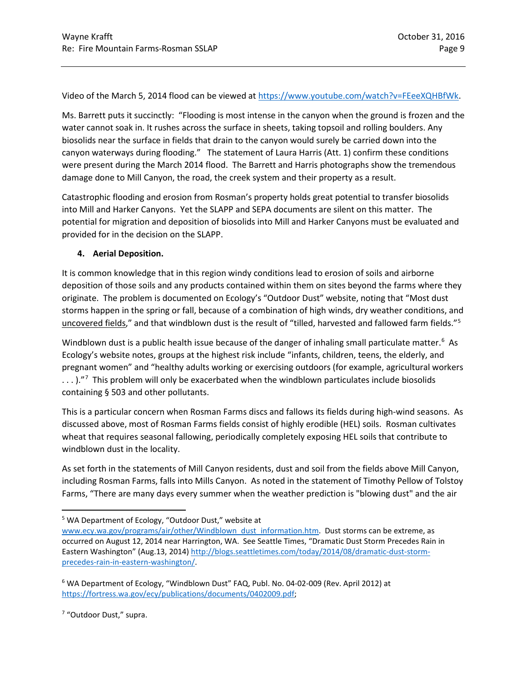Video of the March 5, 2014 flood can be viewed at [https://www.youtube.com/watch?v=FEeeXQHBfWk.](https://www.youtube.com/watch?v=FEeeXQHBfWk)

Ms. Barrett puts it succinctly: "Flooding is most intense in the canyon when the ground is frozen and the water cannot soak in. It rushes across the surface in sheets, taking topsoil and rolling boulders. Any biosolids near the surface in fields that drain to the canyon would surely be carried down into the canyon waterways during flooding." The statement of Laura Harris (Att. 1) confirm these conditions were present during the March 2014 flood. The Barrett and Harris photographs show the tremendous damage done to Mill Canyon, the road, the creek system and their property as a result.

Catastrophic flooding and erosion from Rosman's property holds great potential to transfer biosolids into Mill and Harker Canyons. Yet the SLAPP and SEPA documents are silent on this matter. The potential for migration and deposition of biosolids into Mill and Harker Canyons must be evaluated and provided for in the decision on the SLAPP.

### **4. Aerial Deposition.**

It is common knowledge that in this region windy conditions lead to erosion of soils and airborne deposition of those soils and any products contained within them on sites beyond the farms where they originate. The problem is documented on Ecology's "Outdoor Dust" website, noting that "Most dust storms happen in the spring or fall, because of a combination of high winds, dry weather conditions, and uncovered fields," and that windblown dust is the result of "tilled, harvested and fallowed farm fields."[5](#page-8-0)

Windblown dust is a public health issue because of the danger of inhaling small particulate matter.<sup>[6](#page-8-1)</sup> As Ecology's website notes, groups at the highest risk include "infants, children, teens, the elderly, and pregnant women" and "healthy adults working or exercising outdoors (for example, agricultural workers  $\dots$  )."<sup>[7](#page-8-2)</sup> This problem will only be exacerbated when the windblown particulates include biosolids containing § 503 and other pollutants.

This is a particular concern when Rosman Farms discs and fallows its fields during high-wind seasons. As discussed above, most of Rosman Farms fields consist of highly erodible (HEL) soils. Rosman cultivates wheat that requires seasonal fallowing, periodically completely exposing HEL soils that contribute to windblown dust in the locality.

As set forth in the statements of Mill Canyon residents, dust and soil from the fields above Mill Canyon, including Rosman Farms, falls into Mills Canyon. As noted in the statement of Timothy Pellow of Tolstoy Farms, "There are many days every summer when the weather prediction is "blowing dust" and the air

<span id="page-8-2"></span><sup>7</sup> "Outdoor Dust," supra.

<span id="page-8-0"></span> <sup>5</sup> WA Department of Ecology, "Outdoor Dust," website at

[www.ecy.wa.gov/programs/air/other/Windblown\\_dust\\_information.htm.](http://www.ecy.wa.gov/programs/air/other/Windblown_dust_information.htm) Dust storms can be extreme, as occurred on August 12, 2014 near Harrington, WA. See Seattle Times, "Dramatic Dust Storm Precedes Rain in Eastern Washington" (Aug.13, 2014) [http://blogs.seattletimes.com/today/2014/08/dramatic-dust-storm](http://blogs.seattletimes.com/today/2014/08/dramatic-dust-storm-precedes-rain-in-eastern-washington/)[precedes-rain-in-eastern-washington/.](http://blogs.seattletimes.com/today/2014/08/dramatic-dust-storm-precedes-rain-in-eastern-washington/)

<span id="page-8-1"></span><sup>6</sup> WA Department of Ecology, "Windblown Dust" FAQ, Publ. No. 04-02-009 (Rev. April 2012) at [https://fortress.wa.gov/ecy/publications/documents/0402009.pdf;](https://fortress.wa.gov/ecy/publications/documents/0402009.pdf)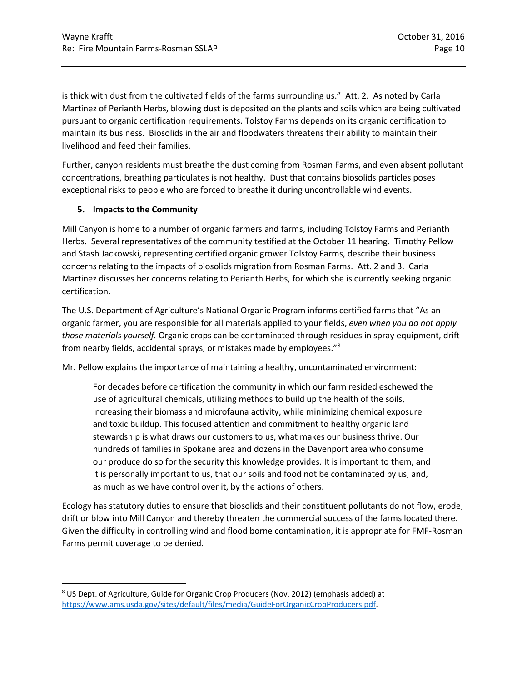is thick with dust from the cultivated fields of the farms surrounding us." Att. 2. As noted by Carla Martinez of Perianth Herbs, blowing dust is deposited on the plants and soils which are being cultivated pursuant to organic certification requirements. Tolstoy Farms depends on its organic certification to maintain its business. Biosolids in the air and floodwaters threatens their ability to maintain their livelihood and feed their families.

Further, canyon residents must breathe the dust coming from Rosman Farms, and even absent pollutant concentrations, breathing particulates is not healthy. Dust that contains biosolids particles poses exceptional risks to people who are forced to breathe it during uncontrollable wind events.

### **5. Impacts to the Community**

Mill Canyon is home to a number of organic farmers and farms, including Tolstoy Farms and Perianth Herbs. Several representatives of the community testified at the October 11 hearing. Timothy Pellow and Stash Jackowski, representing certified organic grower Tolstoy Farms, describe their business concerns relating to the impacts of biosolids migration from Rosman Farms. Att. 2 and 3. Carla Martinez discusses her concerns relating to Perianth Herbs, for which she is currently seeking organic certification.

The U.S. Department of Agriculture's National Organic Program informs certified farms that "As an organic farmer, you are responsible for all materials applied to your fields, *even when you do not apply those materials yourself.* Organic crops can be contaminated through residues in spray equipment, drift from nearby fields, accidental sprays, or mistakes made by employees."[8](#page-9-0)

Mr. Pellow explains the importance of maintaining a healthy, uncontaminated environment:

For decades before certification the community in which our farm resided eschewed the use of agricultural chemicals, utilizing methods to build up the health of the soils, increasing their biomass and microfauna activity, while minimizing chemical exposure and toxic buildup. This focused attention and commitment to healthy organic land stewardship is what draws our customers to us, what makes our business thrive. Our hundreds of families in Spokane area and dozens in the Davenport area who consume our produce do so for the security this knowledge provides. It is important to them, and it is personally important to us, that our soils and food not be contaminated by us, and, as much as we have control over it, by the actions of others.

Ecology has statutory duties to ensure that biosolids and their constituent pollutants do not flow, erode, drift or blow into Mill Canyon and thereby threaten the commercial success of the farms located there. Given the difficulty in controlling wind and flood borne contamination, it is appropriate for FMF-Rosman Farms permit coverage to be denied.

<span id="page-9-0"></span><sup>&</sup>lt;sup>8</sup> US Dept. of Agriculture, Guide for Organic Crop Producers (Nov. 2012) (emphasis added) at [https://www.ams.usda.gov/sites/default/files/media/GuideForOrganicCropProducers.pdf.](https://www.ams.usda.gov/sites/default/files/media/GuideForOrganicCropProducers.pdf)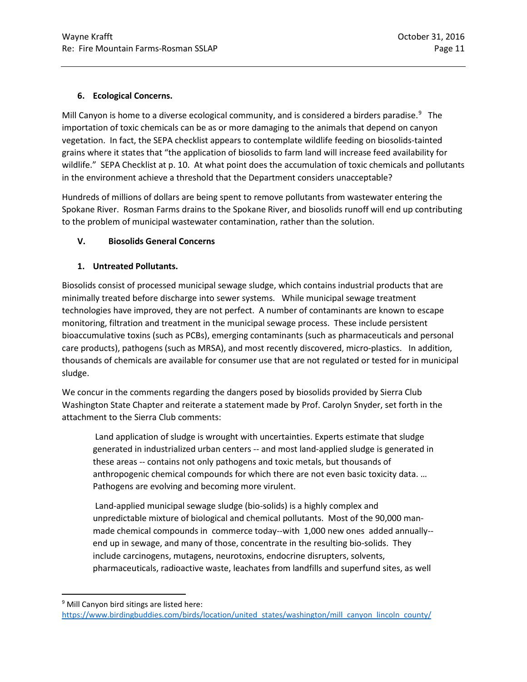### **6. Ecological Concerns.**

Mill Canyon is home to a diverse ecological community, and is considered a birders paradise.<sup>[9](#page-10-0)</sup> The importation of toxic chemicals can be as or more damaging to the animals that depend on canyon vegetation. In fact, the SEPA checklist appears to contemplate wildlife feeding on biosolids-tainted grains where it states that "the application of biosolids to farm land will increase feed availability for wildlife." SEPA Checklist at p. 10. At what point does the accumulation of toxic chemicals and pollutants in the environment achieve a threshold that the Department considers unacceptable?

Hundreds of millions of dollars are being spent to remove pollutants from wastewater entering the Spokane River. Rosman Farms drains to the Spokane River, and biosolids runoff will end up contributing to the problem of municipal wastewater contamination, rather than the solution.

### **V. Biosolids General Concerns**

### **1. Untreated Pollutants.**

Biosolids consist of processed municipal sewage sludge, which contains industrial products that are minimally treated before discharge into sewer systems. While municipal sewage treatment technologies have improved, they are not perfect. A number of contaminants are known to escape monitoring, filtration and treatment in the municipal sewage process. These include persistent bioaccumulative toxins (such as PCBs), emerging contaminants (such as pharmaceuticals and personal care products), pathogens (such as MRSA), and most recently discovered, micro-plastics. In addition, thousands of chemicals are available for consumer use that are not regulated or tested for in municipal sludge.

We concur in the comments regarding the dangers posed by biosolids provided by Sierra Club Washington State Chapter and reiterate a statement made by Prof. Carolyn Snyder, set forth in the attachment to the Sierra Club comments:

Land application of sludge is wrought with uncertainties. Experts estimate that sludge generated in industrialized urban centers -- and most land-applied sludge is generated in these areas -- contains not only pathogens and toxic metals, but thousands of anthropogenic chemical compounds for which there are not even basic toxicity data. … Pathogens are evolving and becoming more virulent.

Land-applied municipal sewage sludge (bio-solids) is a highly complex and unpredictable mixture of biological and chemical pollutants. Most of the 90,000 manmade chemical compounds in commerce today--with 1,000 new ones added annually- end up in sewage, and many of those, concentrate in the resulting bio-solids. They include carcinogens, mutagens, neurotoxins, endocrine disrupters, solvents, pharmaceuticals, radioactive waste, leachates from landfills and superfund sites, as well

<span id="page-10-0"></span><sup>&</sup>lt;sup>9</sup> Mill Canyon bird sitings are listed here:

[https://www.birdingbuddies.com/birds/location/united\\_states/washington/mill\\_canyon\\_lincoln\\_county/](https://www.birdingbuddies.com/birds/location/united_states/washington/mill_canyon_lincoln_county/)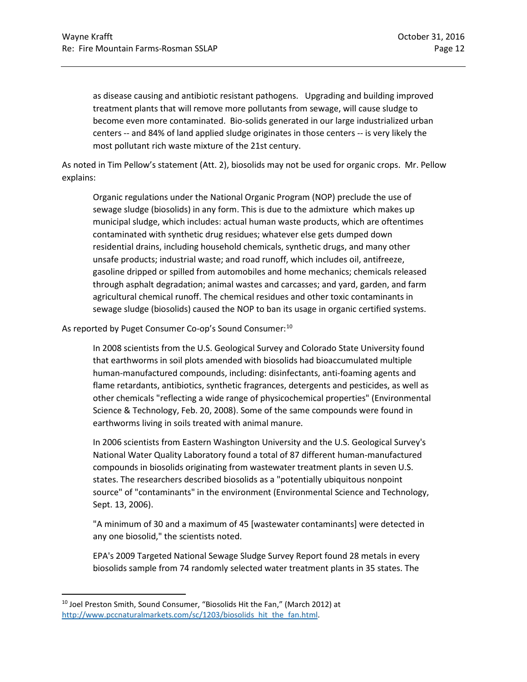as disease causing and antibiotic resistant pathogens. Upgrading and building improved treatment plants that will remove more pollutants from sewage, will cause sludge to become even more contaminated. Bio-solids generated in our large industrialized urban centers -- and 84% of land applied sludge originates in those centers -- is very likely the most pollutant rich waste mixture of the 21st century.

As noted in Tim Pellow's statement (Att. 2), biosolids may not be used for organic crops. Mr. Pellow explains:

Organic regulations under the National Organic Program (NOP) preclude the use of sewage sludge (biosolids) in any form. This is due to the admixture which makes up municipal sludge, which includes: actual human waste products, which are oftentimes contaminated with synthetic drug residues; whatever else gets dumped down residential drains, including household chemicals, synthetic drugs, and many other unsafe products; industrial waste; and road runoff, which includes oil, antifreeze, gasoline dripped or spilled from automobiles and home mechanics; chemicals released through asphalt degradation; animal wastes and carcasses; and yard, garden, and farm agricultural chemical runoff. The chemical residues and other toxic contaminants in sewage sludge (biosolids) caused the NOP to ban its usage in organic certified systems.

As reported by Puget Consumer Co-op's Sound Consumer:<sup>[10](#page-11-0)</sup>

In 2008 scientists from the U.S. Geological Survey and Colorado State University found that earthworms in soil plots amended with biosolids had bioaccumulated multiple human-manufactured compounds, including: disinfectants, anti-foaming agents and flame retardants, antibiotics, synthetic fragrances, detergents and pesticides, as well as other chemicals "reflecting a wide range of physicochemical properties" (Environmental Science & Technology, Feb. 20, 2008). Some of the same compounds were found in earthworms living in soils treated with animal manure.

In 2006 scientists from Eastern Washington University and the U.S. Geological Survey's National Water Quality Laboratory found a total of 87 different human-manufactured compounds in biosolids originating from wastewater treatment plants in seven U.S. states. The researchers described biosolids as a "potentially ubiquitous nonpoint source" of "contaminants" in the environment (Environmental Science and Technology, Sept. 13, 2006).

"A minimum of 30 and a maximum of 45 [wastewater contaminants] were detected in any one biosolid," the scientists noted.

EPA's 2009 Targeted National Sewage Sludge Survey Report found 28 metals in every biosolids sample from 74 randomly selected water treatment plants in 35 states. The

<span id="page-11-0"></span> <sup>10</sup> Joel Preston Smith, Sound Consumer, "Biosolids Hit the Fan," (March 2012) at http://www.pccnaturalmarkets.com/sc/1203/biosolids hit the fan.html.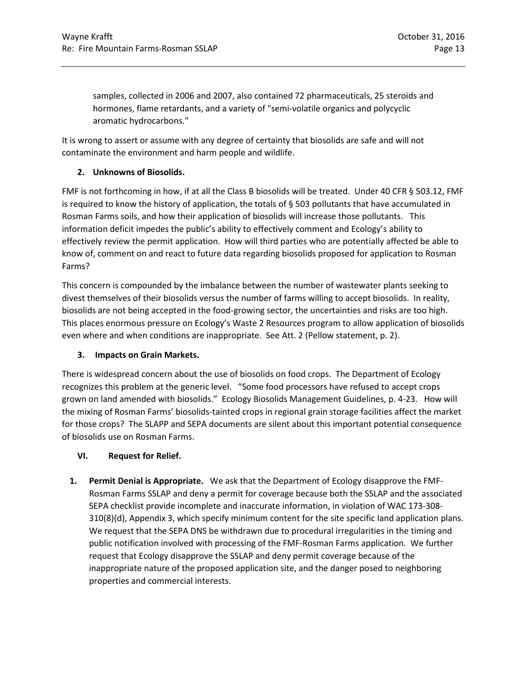samples, collected in 2006 and 2007, also contained 72 pharmaceuticals, 25 steroids and hormones, flame retardants, and a variety of "semi-volatile organics and polycyclic aromatic hydrocarbons."

It is wrong to assert or assume with any degree of certainty that biosolids are safe and will not contaminate the environment and harm people and wildlife.

### **2. Unknowns of Biosolids.**

FMF is not forthcoming in how, if at all the Class B biosolids will be treated. Under 40 CFR § 503.12, FMF is required to know the history of application, the totals of  $\S$  503 pollutants that have accumulated in Rosman Farms soils, and how their application of biosolids will increase those pollutants. This information deficit impedes the public's ability to effectively comment and Ecology's ability to effectively review the permit application. How will third parties who are potentially affected be able to know of, comment on and react to future data regarding biosolids proposed for application to Rosman Farms?

This concern is compounded by the imbalance between the number of wastewater plants seeking to divest themselves of their biosolids versus the number of farms willing to accept biosolids. In reality, biosolids are not being accepted in the food-growing sector, the uncertainties and risks are too high. This places enormous pressure on Ecology's Waste 2 Resources program to allow application of biosolids even where and when conditions are inappropriate. See Att. 2 (Pellow statement, p. 2).

### **3. Impacts on Grain Markets.**

There is widespread concern about the use of biosolids on food crops. The Department of Ecology recognizes this problem at the generic level. "Some food processors have refused to accept crops grown on land amended with biosolids." Ecology Biosolids Management Guidelines, p. 4-23. How will the mixing of Rosman Farms' biosolids-tainted crops in regional grain storage facilities affect the market for those crops? The SLAPP and SEPA documents are silent about this important potential consequence of biosolids use on Rosman Farms.

### **VI. Request for Relief.**

**1. Permit Denial is Appropriate.** We ask that the Department of Ecology disapprove the FMF-Rosman Farms SSLAP and deny a permit for coverage because both the SSLAP and the associated SEPA checklist provide incomplete and inaccurate information, in violation of WAC 173-308- 310(8)(d), Appendix 3, which specify minimum content for the site specific land application plans. We request that the SEPA DNS be withdrawn due to procedural irregularities in the timing and public notification involved with processing of the FMF-Rosman Farms application. We further request that Ecology disapprove the SSLAP and deny permit coverage because of the inappropriate nature of the proposed application site, and the danger posed to neighboring properties and commercial interests.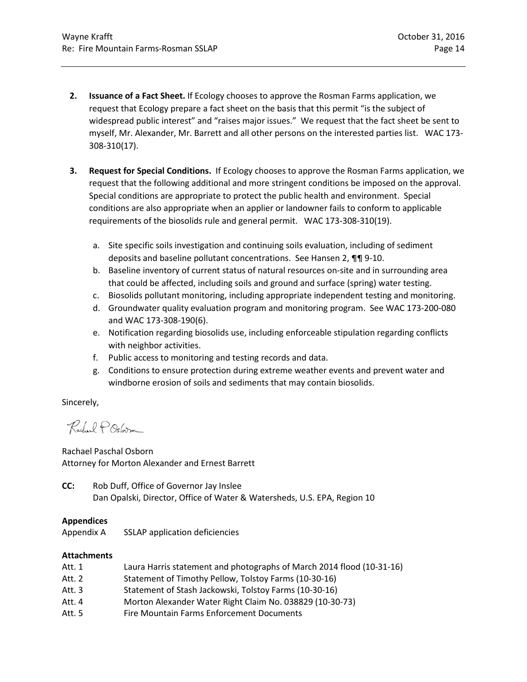- **2. Issuance of a Fact Sheet.** If Ecology chooses to approve the Rosman Farms application, we request that Ecology prepare a fact sheet on the basis that this permit "is the subject of widespread public interest" and "raises major issues." We request that the fact sheet be sent to myself, Mr. Alexander, Mr. Barrett and all other persons on the interested parties list. WAC 173- 308-310(17).
- **3. Request for Special Conditions.** If Ecology chooses to approve the Rosman Farms application, we request that the following additional and more stringent conditions be imposed on the approval. Special conditions are appropriate to protect the public health and environment. Special conditions are also appropriate when an applier or landowner fails to conform to applicable requirements of the biosolids rule and general permit. WAC 173-308-310(19).
	- a. Site specific soils investigation and continuing soils evaluation, including of sediment deposits and baseline pollutant concentrations. See Hansen 2, ¶¶ 9-10.
	- b. Baseline inventory of current status of natural resources on-site and in surrounding area that could be affected, including soils and ground and surface (spring) water testing.
	- c. Biosolids pollutant monitoring, including appropriate independent testing and monitoring.
	- d. Groundwater quality evaluation program and monitoring program. See WAC 173-200-080 and WAC 173-308-190(6).
	- e. Notification regarding biosolids use, including enforceable stipulation regarding conflicts with neighbor activities.
	- f. Public access to monitoring and testing records and data.
	- g. Conditions to ensure protection during extreme weather events and prevent water and windborne erosion of soils and sediments that may contain biosolids.

Sincerely,

Rachael POstoim

Rachael Paschal Osborn Attorney for Morton Alexander and Ernest Barrett

**CC:** Rob Duff, Office of Governor Jay Inslee Dan Opalski, Director, Office of Water & Watersheds, U.S. EPA, Region 10

### **Appendices**

Appendix A SSLAP application deficiencies

### **Attachments**

- Att. 1 Laura Harris statement and photographs of March 2014 flood (10-31-16)
- Att. 2 Statement of Timothy Pellow, Tolstoy Farms (10-30-16)
- Att. 3 Statement of Stash Jackowski, Tolstoy Farms (10-30-16)
- Att. 4 Morton Alexander Water Right Claim No. 038829 (10-30-73)
- Att. 5 Fire Mountain Farms Enforcement Documents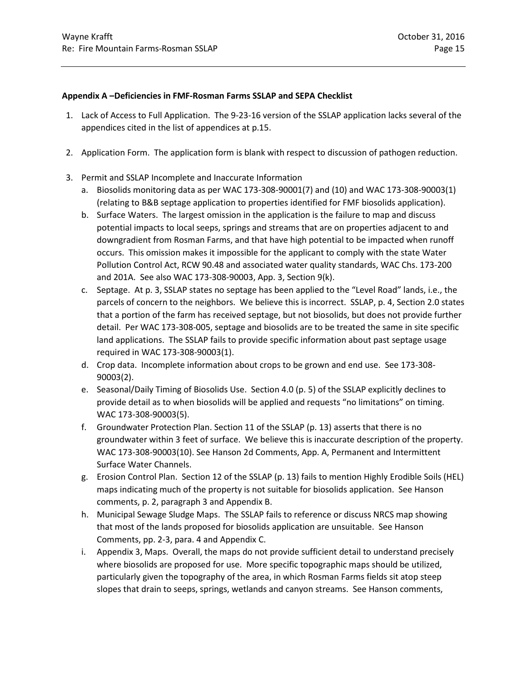#### **Appendix A –Deficiencies in FMF-Rosman Farms SSLAP and SEPA Checklist**

- 1. Lack of Access to Full Application. The 9-23-16 version of the SSLAP application lacks several of the appendices cited in the list of appendices at p.15.
- 2. Application Form. The application form is blank with respect to discussion of pathogen reduction.
- 3. Permit and SSLAP Incomplete and Inaccurate Information
	- a. Biosolids monitoring data as per WAC 173-308-90001(7) and (10) and WAC 173-308-90003(1) (relating to B&B septage application to properties identified for FMF biosolids application).
	- b. Surface Waters. The largest omission in the application is the failure to map and discuss potential impacts to local seeps, springs and streams that are on properties adjacent to and downgradient from Rosman Farms, and that have high potential to be impacted when runoff occurs. This omission makes it impossible for the applicant to comply with the state Water Pollution Control Act, RCW 90.48 and associated water quality standards, WAC Chs. 173-200 and 201A. See also WAC 173-308-90003, App. 3, Section 9(k).
	- c. Septage. At p. 3, SSLAP states no septage has been applied to the "Level Road" lands, i.e., the parcels of concern to the neighbors. We believe this is incorrect. SSLAP, p. 4, Section 2.0 states that a portion of the farm has received septage, but not biosolids, but does not provide further detail. Per WAC 173-308-005, septage and biosolids are to be treated the same in site specific land applications. The SSLAP fails to provide specific information about past septage usage required in WAC 173-308-90003(1).
	- d. Crop data. Incomplete information about crops to be grown and end use. See 173-308- 90003(2).
	- e. Seasonal/Daily Timing of Biosolids Use. Section 4.0 (p. 5) of the SSLAP explicitly declines to provide detail as to when biosolids will be applied and requests "no limitations" on timing. WAC 173-308-90003(5).
	- f. Groundwater Protection Plan. Section 11 of the SSLAP (p. 13) asserts that there is no groundwater within 3 feet of surface. We believe this is inaccurate description of the property. WAC 173-308-90003(10). See Hanson 2d Comments, App. A, Permanent and Intermittent Surface Water Channels.
	- g. Erosion Control Plan. Section 12 of the SSLAP (p. 13) fails to mention Highly Erodible Soils (HEL) maps indicating much of the property is not suitable for biosolids application. See Hanson comments, p. 2, paragraph 3 and Appendix B.
	- h. Municipal Sewage Sludge Maps. The SSLAP fails to reference or discuss NRCS map showing that most of the lands proposed for biosolids application are unsuitable. See Hanson Comments, pp. 2-3, para. 4 and Appendix C.
	- i. Appendix 3, Maps. Overall, the maps do not provide sufficient detail to understand precisely where biosolids are proposed for use. More specific topographic maps should be utilized, particularly given the topography of the area, in which Rosman Farms fields sit atop steep slopes that drain to seeps, springs, wetlands and canyon streams. See Hanson comments,